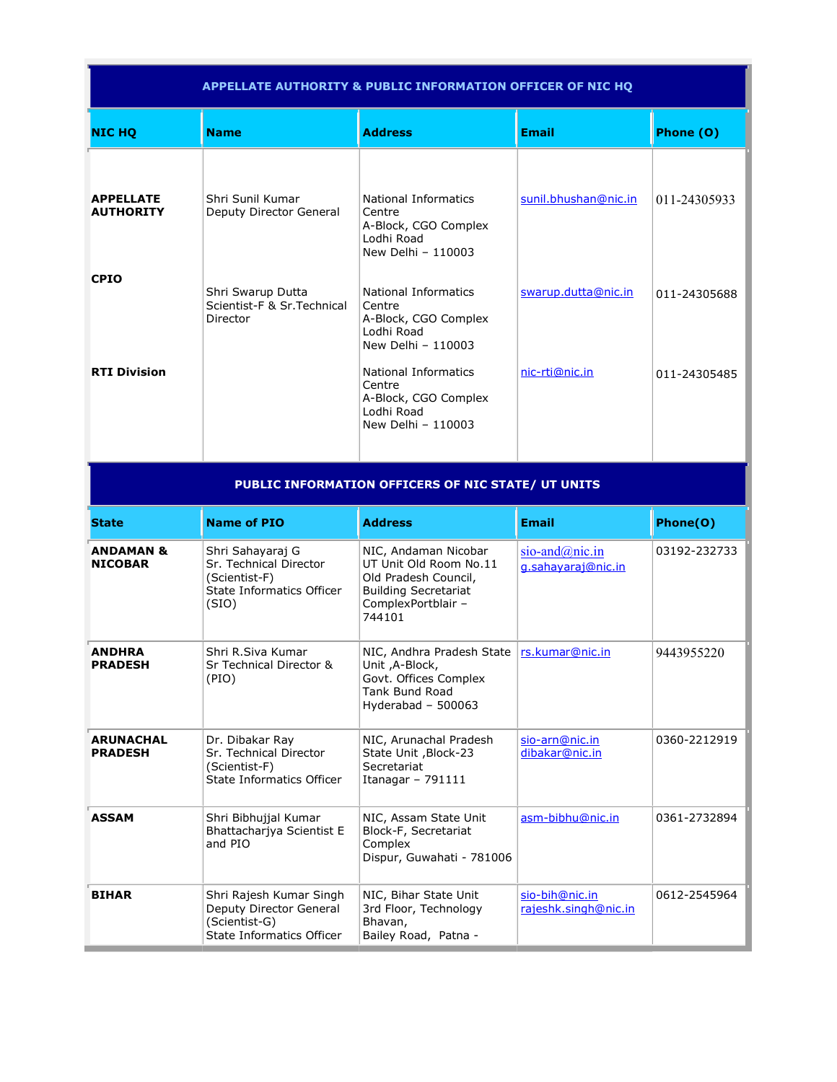| <b>APPELLATE AUTHORITY &amp; PUBLIC INFORMATION OFFICER OF NIC HQ</b> |                                                                                                   |                                                                                                                                       |                                                 |              |
|-----------------------------------------------------------------------|---------------------------------------------------------------------------------------------------|---------------------------------------------------------------------------------------------------------------------------------------|-------------------------------------------------|--------------|
| <b>NIC HQ</b>                                                         | <b>Name</b>                                                                                       | <b>Address</b>                                                                                                                        | <b>Email</b>                                    | Phone (O)    |
| <b>APPELLATE</b><br><b>AUTHORITY</b>                                  | Shri Sunil Kumar<br>Deputy Director General                                                       | National Informatics<br>Centre<br>A-Block, CGO Complex<br>Lodhi Road<br>New Delhi - 110003                                            | sunil.bhushan@nic.in                            | 011-24305933 |
| <b>CPIO</b>                                                           | Shri Swarup Dutta<br>Scientist-F & Sr.Technical<br>Director                                       | National Informatics<br>Centre<br>A-Block, CGO Complex<br>Lodhi Road<br>New Delhi - 110003                                            | swarup.dutta@nic.in                             | 011-24305688 |
| <b>RTI Division</b>                                                   |                                                                                                   | National Informatics<br>Centre<br>A-Block, CGO Complex<br>Lodhi Road<br>New Delhi - 110003                                            | nic-rti@nic.in                                  | 011-24305485 |
| PUBLIC INFORMATION OFFICERS OF NIC STATE/ UT UNITS                    |                                                                                                   |                                                                                                                                       |                                                 |              |
|                                                                       |                                                                                                   |                                                                                                                                       |                                                 |              |
| <b>State</b>                                                          | <b>Name of PIO</b>                                                                                | <b>Address</b>                                                                                                                        | <b>Email</b>                                    | Phone(O)     |
| <b>ANDAMAN &amp;</b><br><b>NICOBAR</b>                                | Shri Sahayaraj G<br>Sr. Technical Director<br>(Scientist-F)<br>State Informatics Officer<br>(SIO) | NIC, Andaman Nicobar<br>UT Unit Old Room No.11<br>Old Pradesh Council,<br><b>Building Secretariat</b><br>ComplexPortblair -<br>744101 | sio-and $(\omega)$ nic.in<br>g.sahayaraj@nic.in | 03192-232733 |
| <b>ANDHRA</b><br><b>PRADESH</b>                                       | Shri R.Siva Kumar<br>Sr Technical Director &<br>(PIO)                                             | NIC, Andhra Pradesh State<br>Unit , A-Block,<br>Govt. Offices Complex<br><b>Tank Bund Road</b><br>Hyderabad $-500063$                 | rs.kumar@nic.in                                 | 9443955220   |
| <b>ARUNACHAL</b><br><b>PRADESH</b>                                    | Dr. Dibakar Ray<br>Sr. Technical Director<br>(Scientist-F)<br><b>State Informatics Officer</b>    | NIC, Arunachal Pradesh<br>State Unit, Block-23<br>Secretariat<br>Itanagar - 791111                                                    | sio-arn@nic.in<br>dibakar@nic.in                | 0360-2212919 |
| <b>ASSAM</b>                                                          | Shri Bibhujjal Kumar<br>Bhattacharjya Scientist E<br>and PIO                                      | NIC, Assam State Unit<br>Block-F, Secretariat<br>Complex<br>Dispur, Guwahati - 781006                                                 | asm-bibhu@nic.in                                | 0361-2732894 |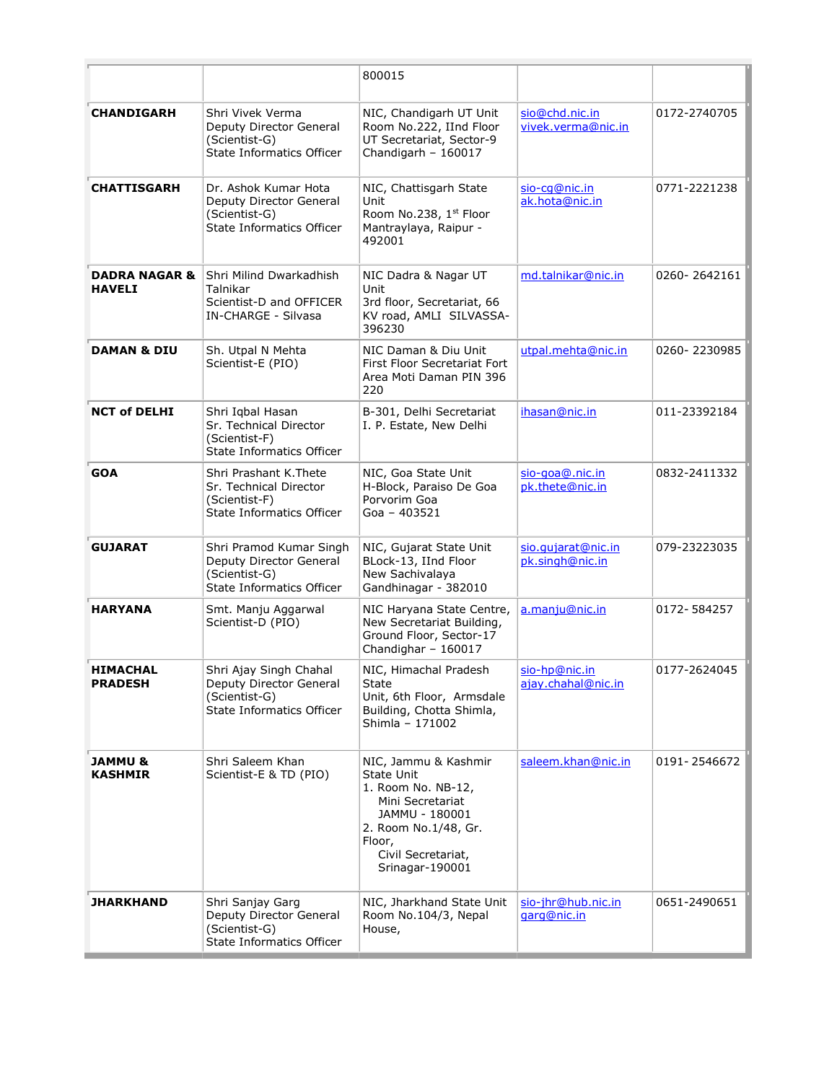|                                      |                                                                                                                       | 800015                                                                                                                                                                           |                                       |              |
|--------------------------------------|-----------------------------------------------------------------------------------------------------------------------|----------------------------------------------------------------------------------------------------------------------------------------------------------------------------------|---------------------------------------|--------------|
| <b>CHANDIGARH</b>                    | Shri Vivek Verma<br>Deputy Director General<br>(Scientist-G)<br>State Informatics Officer                             | NIC, Chandigarh UT Unit<br>Room No.222, IInd Floor<br>UT Secretariat, Sector-9<br>Chandigarh - 160017                                                                            | sio@chd.nic.in<br>vivek.verma@nic.in  | 0172-2740705 |
| <b>CHATTISGARH</b>                   | Dr. Ashok Kumar Hota<br>Deputy Director General<br>(Scientist-G)<br><b>State Informatics Officer</b>                  | NIC, Chattisgarh State<br>Unit<br>Room No.238, 1st Floor<br>Mantraylaya, Raipur -<br>492001                                                                                      | sio-cq@nic.in<br>ak.hota@nic.in       | 0771-2221238 |
| <b>HAVELI</b>                        | <b>DADRA NAGAR &amp; Shri Milind Dwarkadhish</b><br>Talnikar<br>Scientist-D and OFFICER<br><b>IN-CHARGE - Silvasa</b> | NIC Dadra & Nagar UT<br>Unit<br>3rd floor, Secretariat, 66<br>KV road, AMLI SILVASSA-<br>396230                                                                                  | md.talnikar@nic.in                    | 0260-2642161 |
| <b>DAMAN &amp; DIU</b>               | Sh. Utpal N Mehta<br>Scientist-E (PIO)                                                                                | NIC Daman & Diu Unit<br>First Floor Secretariat Fort<br>Area Moti Daman PIN 396<br>220                                                                                           | utpal.mehta@nic.in                    | 0260-2230985 |
| <b>NCT of DELHI</b>                  | Shri Iqbal Hasan<br>Sr. Technical Director<br>(Scientist-F)<br><b>State Informatics Officer</b>                       | B-301, Delhi Secretariat<br>I. P. Estate, New Delhi                                                                                                                              | ihasan@nic.in                         | 011-23392184 |
| <b>GOA</b>                           | Shri Prashant K.Thete<br>Sr. Technical Director<br>(Scientist-F)<br><b>State Informatics Officer</b>                  | NIC, Goa State Unit<br>H-Block, Paraiso De Goa<br>Porvorim Goa<br>Goa - 403521                                                                                                   | sio-goa@.nic.in<br>pk.thete@nic.in    | 0832-2411332 |
| <b>GUJARAT</b>                       | Shri Pramod Kumar Singh<br>Deputy Director General<br>(Scientist-G)<br>State Informatics Officer                      | NIC, Gujarat State Unit<br>BLock-13, IInd Floor<br>New Sachivalaya<br>Gandhinagar - 382010                                                                                       | sio.qujarat@nic.in<br>pk.singh@nic.in | 079-23223035 |
| <b>HARYANA</b>                       | Smt. Manju Aggarwal<br>Scientist-D (PIO)                                                                              | NIC Haryana State Centre,<br>New Secretariat Building,<br>Ground Floor, Sector-17<br>Chandighar - 160017                                                                         | a.manju@nic.in                        | 0172-584257  |
| <b>HIMACHAL</b><br><b>PRADESH</b>    | Shri Ajay Singh Chahal<br>Deputy Director General<br>(Scientist-G)<br>State Informatics Officer                       | NIC, Himachal Pradesh<br>State<br>Unit, 6th Floor, Armsdale<br>Building, Chotta Shimla,<br>Shimla - 171002                                                                       | sio-hp@nic.in<br>ajay.chahal@nic.in   | 0177-2624045 |
| <b>JAMMU &amp;</b><br><b>KASHMIR</b> | Shri Saleem Khan<br>Scientist-E & TD (PIO)                                                                            | NIC, Jammu & Kashmir<br><b>State Unit</b><br>1. Room No. NB-12,<br>Mini Secretariat<br>JAMMU - 180001<br>2. Room No.1/48, Gr.<br>Floor,<br>Civil Secretariat,<br>Srinagar-190001 | saleem.khan@nic.in                    | 0191-2546672 |
| <b>JHARKHAND</b>                     | Shri Sanjay Garg<br>Deputy Director General<br>(Scientist-G)<br>State Informatics Officer                             | NIC, Jharkhand State Unit<br>Room No.104/3, Nepal<br>House,                                                                                                                      | sio-jhr@hub.nic.in<br>garg@nic.in     | 0651-2490651 |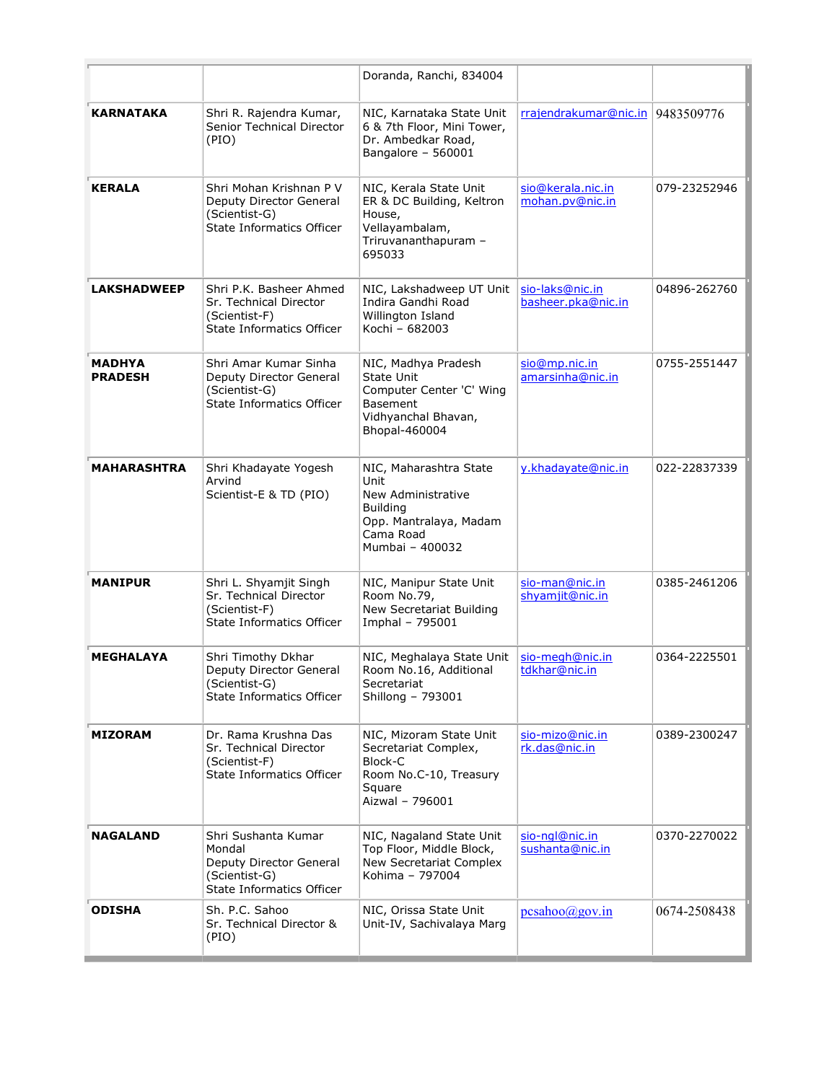|                          |                                                                                                        | Doranda, Ranchi, 834004                                                                                                           |                                       |              |
|--------------------------|--------------------------------------------------------------------------------------------------------|-----------------------------------------------------------------------------------------------------------------------------------|---------------------------------------|--------------|
| <b>KARNATAKA</b>         | Shri R. Rajendra Kumar,<br>Senior Technical Director<br>(PIO)                                          | NIC, Karnataka State Unit<br>6 & 7th Floor, Mini Tower,<br>Dr. Ambedkar Road,<br>Bangalore - 560001                               | rrajendrakumar@nic.in   9483509776    |              |
| <b>KERALA</b>            | Shri Mohan Krishnan P V<br>Deputy Director General<br>(Scientist-G)<br>State Informatics Officer       | NIC, Kerala State Unit<br>ER & DC Building, Keltron<br>House,<br>Vellayambalam,<br>Triruvananthapuram -<br>695033                 | sio@kerala.nic.in<br>mohan.pv@nic.in  | 079-23252946 |
| <b>LAKSHADWEEP</b>       | Shri P.K. Basheer Ahmed<br>Sr. Technical Director<br>(Scientist-F)<br>State Informatics Officer        | NIC, Lakshadweep UT Unit<br>Indira Gandhi Road<br>Willington Island<br>Kochi - 682003                                             | sio-laks@nic.in<br>basheer.pka@nic.in | 04896-262760 |
| MADHYA<br><b>PRADESH</b> | Shri Amar Kumar Sinha<br>Deputy Director General<br>(Scientist-G)<br>State Informatics Officer         | NIC, Madhya Pradesh<br>State Unit<br>Computer Center 'C' Wing<br><b>Basement</b><br>Vidhyanchal Bhavan,<br>Bhopal-460004          | sio@mp.nic.in<br>amarsinha@nic.in     | 0755-2551447 |
| MAHARASHTRA              | Shri Khadayate Yogesh<br>Arvind<br>Scientist-E & TD (PIO)                                              | NIC, Maharashtra State<br>Unit<br>New Administrative<br><b>Building</b><br>Opp. Mantralaya, Madam<br>Cama Road<br>Mumbai - 400032 | y.khadayate@nic.in                    | 022-22837339 |
| <b>MANIPUR</b>           | Shri L. Shyamjit Singh<br>Sr. Technical Director<br>(Scientist-F)<br>State Informatics Officer         | NIC, Manipur State Unit<br>Room No.79,<br>New Secretariat Building<br>Imphal - 795001                                             | sio-man@nic.in<br>shyamjit@nic.in     | 0385-2461206 |
| <b>MEGHALAYA</b>         | Shri Timothy Dkhar<br>Deputy Director General<br>(Scientist-G)<br>State Informatics Officer            | NIC, Meghalaya State Unit<br>Room No.16, Additional<br>Secretariat<br>Shillong - 793001                                           | sio-megh@nic.in<br>tdkhar@nic.in      | 0364-2225501 |
| <b>MIZORAM</b>           | Dr. Rama Krushna Das<br>Sr. Technical Director<br>(Scientist-F)<br>State Informatics Officer           | NIC, Mizoram State Unit<br>Secretariat Complex,<br>Block-C<br>Room No.C-10, Treasury<br>Square<br>Aizwal - 796001                 | sio-mizo@nic.in<br>rk.das@nic.in      | 0389-2300247 |
| <b>NAGALAND</b>          | Shri Sushanta Kumar<br>Mondal<br>Deputy Director General<br>(Scientist-G)<br>State Informatics Officer | NIC, Nagaland State Unit<br>Top Floor, Middle Block,<br>New Secretariat Complex<br>Kohima - 797004                                | sio-ngl@nic.in<br>sushanta@nic.in     | 0370-2270022 |
| <b>ODISHA</b>            | Sh. P.C. Sahoo<br>Sr. Technical Director &<br>(PIO)                                                    | NIC, Orissa State Unit<br>Unit-IV, Sachivalaya Marg                                                                               | pcsahoo(a)gov.in                      | 0674-2508438 |